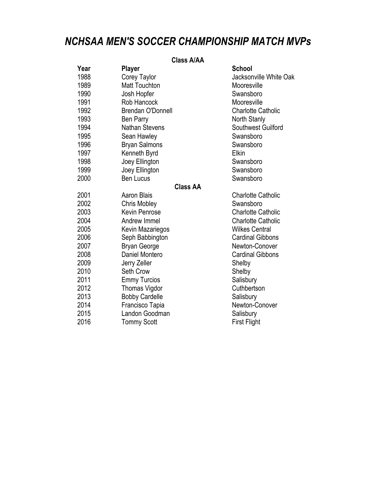## *NCHSAA MEN'S SOCCER CHAMPIONSHIP MATCH MVPs*

## **Class A/AA**

| Year | <b>Player</b>            | <b>School</b>             |
|------|--------------------------|---------------------------|
| 1988 | Corey Taylor             | Jacksonville White Oak    |
| 1989 | <b>Matt Touchton</b>     | Mooresville               |
| 1990 | Josh Hopfer              | Swansboro                 |
| 1991 | Rob Hancock              | Mooresville               |
| 1992 | <b>Brendan O'Donnell</b> | <b>Charlotte Catholic</b> |
| 1993 | Ben Parry                | North Stanly              |
| 1994 | <b>Nathan Stevens</b>    | Southwest Guilford        |
| 1995 | Sean Hawley              | Swansboro                 |
| 1996 | <b>Bryan Salmons</b>     | Swansboro                 |
| 1997 | Kenneth Byrd             | Elkin                     |
| 1998 | Joey Ellington           | Swansboro                 |
| 1999 | Joey Ellington           | Swansboro                 |
| 2000 | <b>Ben Lucus</b>         | Swansboro                 |
|      | <b>Class AA</b>          |                           |
| 2001 | <b>Aaron Blais</b>       | <b>Charlotte Catholic</b> |
| 2002 | Chris Mobley             | Swansboro                 |
| 2003 | <b>Kevin Penrose</b>     | <b>Charlotte Catholic</b> |
| 2004 | Andrew Immel             | <b>Charlotte Catholic</b> |
| 2005 | Kevin Mazariegos         | <b>Wilkes Central</b>     |
| 2006 | Seph Babbington          | <b>Cardinal Gibbons</b>   |
| 2007 | <b>Bryan George</b>      | Newton-Conover            |
| 2008 | Daniel Montero           | <b>Cardinal Gibbons</b>   |
| 2009 | Jerry Zeller             | Shelby                    |
| 2010 | Seth Crow                | Shelby                    |
| 2011 | <b>Emmy Turcios</b>      | Salisbury                 |
| 2012 | Thomas Vigdor            | Cuthbertson               |
| 2013 | <b>Bobby Cardelle</b>    | Salisbury                 |
| 2014 | Francisco Tapia          | Newton-Conover            |
| 2015 | Landon Goodman           | Salisbury                 |
| 2016 | <b>Tommy Scott</b>       | <b>First Flight</b>       |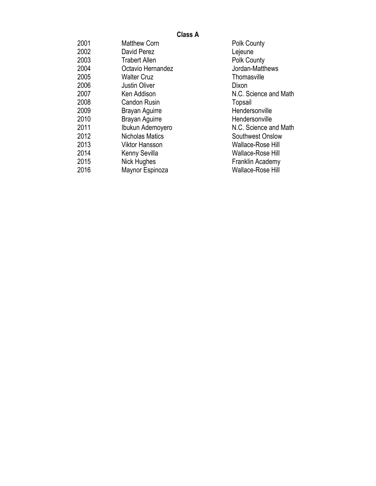## **Class A**

| 2001 | <b>Matthew Corn</b>   | <b>Polk County</b>      |
|------|-----------------------|-------------------------|
| 2002 | David Perez           | Lejeune                 |
| 2003 | <b>Trabert Allen</b>  | <b>Polk County</b>      |
| 2004 | Octavio Hernandez     | Jordan-Matthews         |
| 2005 | <b>Walter Cruz</b>    | Thomasville             |
| 2006 | <b>Justin Oliver</b>  | Dixon                   |
| 2007 | Ken Addison           | N.C. Science and Math   |
| 2008 | <b>Candon Rusin</b>   | Topsail                 |
| 2009 | Brayan Aguirre        | Hendersonville          |
| 2010 | Brayan Aguirre        | Hendersonville          |
| 2011 | Ibukun Ademoyero      | N.C. Science and Math   |
| 2012 | Nicholas Matics       | <b>Southwest Onslow</b> |
| 2013 | <b>Viktor Hansson</b> | Wallace-Rose Hill       |
| 2014 | Kenny Sevilla         | Wallace-Rose Hill       |
| 2015 | Nick Hughes           | Franklin Academy        |
| 2016 | Maynor Espinoza       | Wallace-Rose Hill       |
|      |                       |                         |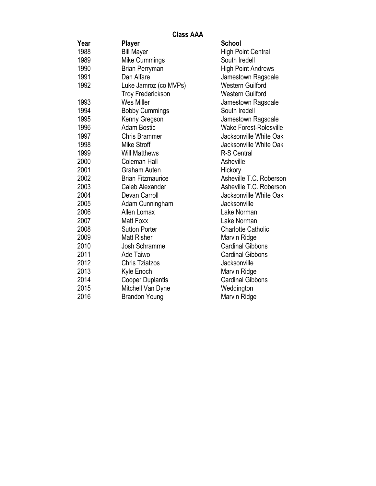**Class AAA**

| Year | Player                   | <b>School</b>                 |
|------|--------------------------|-------------------------------|
| 1988 | <b>Bill Mayer</b>        | <b>High Point Central</b>     |
| 1989 | Mike Cummings            | South Iredell                 |
| 1990 | <b>Brian Perryman</b>    | <b>High Point Andrews</b>     |
| 1991 | Dan Alfare               | Jamestown Ragsdale            |
| 1992 | Luke Jamroz (co MVPs)    | <b>Western Guilford</b>       |
|      | <b>Troy Frederickson</b> | <b>Western Guilford</b>       |
| 1993 | <b>Wes Miller</b>        | Jamestown Ragsdale            |
| 1994 | <b>Bobby Cummings</b>    | South Iredell                 |
| 1995 | Kenny Gregson            | Jamestown Ragsdale            |
| 1996 | <b>Adam Bostic</b>       | <b>Wake Forest-Rolesville</b> |
| 1997 | <b>Chris Brammer</b>     | Jacksonville White Oak        |
| 1998 | <b>Mike Stroff</b>       | Jacksonville White Oak        |
| 1999 | <b>Will Matthews</b>     | <b>R-S Central</b>            |
| 2000 | <b>Coleman Hall</b>      | Asheville                     |
| 2001 | <b>Graham Auten</b>      | Hickory                       |
| 2002 | <b>Brian Fitzmaurice</b> | Asheville T.C. Roberson       |
| 2003 | Caleb Alexander          | Asheville T.C. Roberson       |
| 2004 | Devan Carroll            | Jacksonville White Oak        |
| 2005 | Adam Cunningham          | Jacksonville                  |
| 2006 | Allen Lomax              | Lake Norman                   |
| 2007 | Matt Foxx                | Lake Norman                   |
| 2008 | <b>Sutton Porter</b>     | <b>Charlotte Catholic</b>     |
| 2009 | <b>Matt Risher</b>       | Marvin Ridge                  |
| 2010 | Josh Schramme            | <b>Cardinal Gibbons</b>       |
| 2011 | Ade Taiwo                | <b>Cardinal Gibbons</b>       |
| 2012 | <b>Chris Tziatzos</b>    | Jacksonville                  |
| 2013 | Kyle Enoch               | Marvin Ridge                  |
| 2014 | <b>Cooper Duplantis</b>  | <b>Cardinal Gibbons</b>       |
| 2015 | Mitchell Van Dyne        | Weddington                    |
| 2016 | <b>Brandon Young</b>     | Marvin Ridge                  |